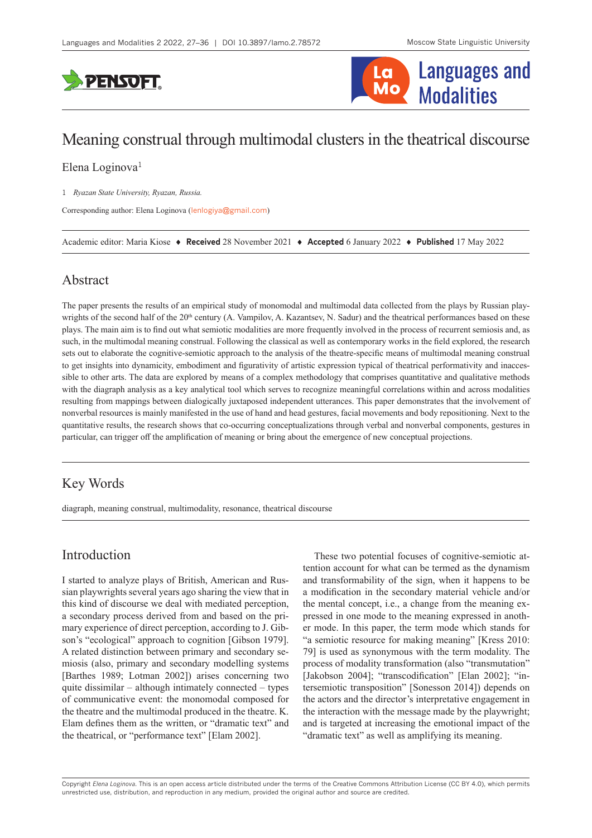



# Meaning construal through multimodal clusters in the theatrical discourse

Elena Loginova<sup>1</sup>

1 *Ryazan State University, Ryazan, Russia.*

Corresponding author: Elena Loginova ([lenlogiya@gmail.com](mailto:lenlogiya@gmail.com))

Academic editor: Maria Kiose ♦ **Received** 28 November 2021 ♦ **Accepted** 6 January 2022 ♦ **Published** 17 May 2022

## Abstract

The paper presents the results of an empirical study of monomodal and multimodal data collected from the plays by Russian playwrights of the second half of the 20<sup>th</sup> century (A. Vampilov, A. Kazantsev, N. Sadur) and the theatrical performances based on these plays. The main aim is to find out what semiotic modalities are more frequently involved in the process of recurrent semiosis and, as such, in the multimodal meaning construal. Following the classical as well as contemporary works in the field explored, the research sets out to elaborate the cognitive-semiotic approach to the analysis of the theatre-specific means of multimodal meaning construal to get insights into dynamicity, embodiment and figurativity of artistic expression typical of theatrical performativity and inaccessible to other arts. The data are explored by means of a complex methodology that comprises quantitative and qualitative methods with the diagraph analysis as a key analytical tool which serves to recognize meaningful correlations within and across modalities resulting from mappings between dialogically juxtaposed independent utterances. This paper demonstrates that the involvement of nonverbal resources is mainly manifested in the use of hand and head gestures, facial movements and body repositioning. Next to the quantitative results, the research shows that co-occurring conceptualizations through verbal and nonverbal components, gestures in particular, can trigger off the amplification of meaning or bring about the emergence of new conceptual projections.

# Key Words

diagraph, meaning construal, multimodality, resonance, theatrical discourse

# Introduction

I started to analyze plays of British, American and Russian playwrights several years ago sharing the view that in this kind of discourse we deal with mediated perception, a secondary process derived from and based on the primary experience of direct perception, according to J. Gibson's "ecological" approach to cognition [Gibson 1979]. A related distinction between primary and secondary semiosis (also, primary and secondary modelling systems [Barthes 1989; Lotman 2002]) arises concerning two quite dissimilar – although intimately connected – types of communicative event: the monomodal composed for the theatre and the multimodal produced in the theatre. K. Elam defines them as the written, or "dramatic text" and the theatrical, or "performance text" [Elam 2002].

These two potential focuses of cognitive-semiotic attention account for what can be termed as the dynamism and transformability of the sign, when it happens to be a modification in the secondary material vehicle and/or the mental concept, i.e., a change from the meaning expressed in one mode to the meaning expressed in another mode. In this paper, the term mode which stands for "a semiotic resource for making meaning" [Kress 2010: 79] is used as synonymous with the term modality. The process of modality transformation (also "transmutation" [Jakobson 2004]; "transcodification" [Elan 2002]; "intersemiotic transposition" [Sonesson 2014]) depends on the actors and the director's interpretative engagement in the interaction with the message made by the playwright; and is targeted at increasing the emotional impact of the "dramatic text" as well as amplifying its meaning.

Copyright *Elena Loginova.* This is an open access article distributed under the terms of the [Creative Commons Attribution License \(CC BY 4.0\),](http://creativecommons.org/licenses/by/4.0/) which permits unrestricted use, distribution, and reproduction in any medium, provided the original author and source are credited.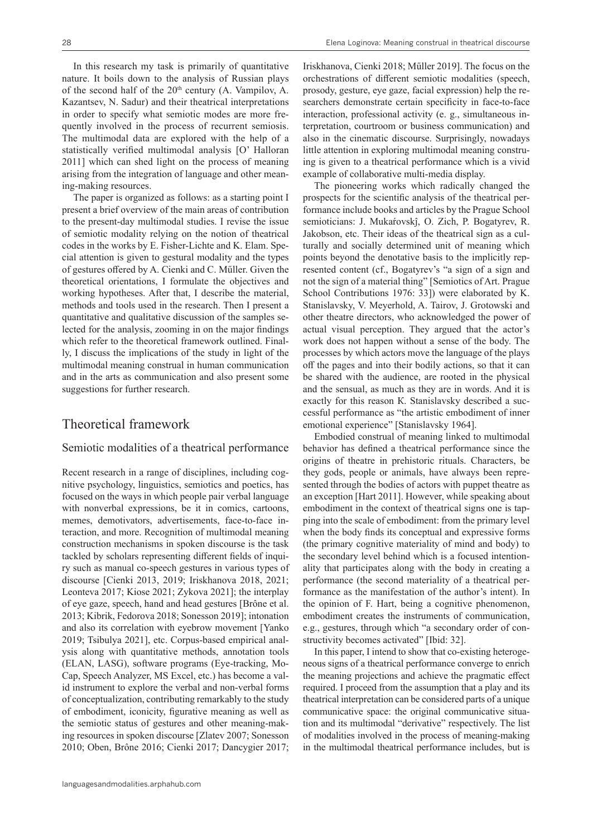In this research my task is primarily of quantitative nature. It boils down to the analysis of Russian plays of the second half of the 20<sup>th</sup> century (A. Vampilov, A. Kazantsev, N. Sadur) and their theatrical interpretations in order to specify what semiotic modes are more frequently involved in the process of recurrent semiosis. The multimodal data are explored with the help of a statistically verified multimodal analysis [O' Halloran 2011] which can shed light on the process of meaning arising from the integration of language and other meaning-making resources.

The paper is organized as follows: as a starting point I present a brief overview of the main areas of contribution to the present-day multimodal studies. I revise the issue of semiotic modality relying on the notion of theatrical codes in the works by E. Fisher-Lichte and K. Elam. Special attention is given to gestural modality and the types of gestures offered by A. Cienki and C. Műller. Given the theoretical orientations, I formulate the objectives and working hypotheses. After that, I describe the material, methods and tools used in the research. Then I present a quantitative and qualitative discussion of the samples selected for the analysis, zooming in on the major findings which refer to the theoretical framework outlined. Finally, I discuss the implications of the study in light of the multimodal meaning construal in human communication and in the arts as communication and also present some suggestions for further research.

# Theoretical framework

#### Semiotic modalities of a theatrical performance

Recent research in a range of disciplines, including cognitive psychology, linguistics, semiotics and poetics, has focused on the ways in which people pair verbal language with nonverbal expressions, be it in comics, cartoons, memes, demotivators, advertisements, face-to-face interaction, and more. Recognition of multimodal meaning construction mechanisms in spoken discourse is the task tackled by scholars representing different fields of inquiry such as manual co-speech gestures in various types of discourse [Cienki 2013, 2019; Iriskhanova 2018, 2021; Leonteva 2017; Kiose 2021; Zykova 2021]; the interplay of eye gaze, speech, hand and head gestures [Brône et al. 2013; Kibrik, Fedorova 2018; Sonesson 2019]; intonation and also its correlation with eyebrow movement [Yanko 2019; Tsibulya 2021], etc. Corpus-based empirical analysis along with quantitative methods, annotation tools (ELAN, LASG), software programs (Eye-tracking, Mo-Cap, Speech Analyzer, MS Excel, etc.) has become a valid instrument to explore the verbal and non-verbal forms of conceptualization, contributing remarkably to the study of embodiment, iconicity, figurative meaning as well as the semiotic status of gestures and other meaning-making resources in spoken discourse [Zlatev 2007; Sonesson 2010; Oben, Brône 2016; Cienki 2017; Dancygier 2017; Iriskhanova, Cienki 2018; Műller 2019]. The focus on the orchestrations of different semiotic modalities (speech, prosody, gesture, eye gaze, facial expression) help the researchers demonstrate certain specificity in face-to-face interaction, professional activity (e. g., simultaneous interpretation, courtroom or business communication) and also in the cinematic discourse. Surprisingly, nowadays little attention in exploring multimodal meaning construing is given to a theatrical performance which is a vivid example of collaborative multi-media display.

The pioneering works which radically changed the prospects for the scientific analysis of the theatrical performance include books and articles by the Prague School semioticians: J. Mukaŕovskĵ, O. Zich, P. Bogatyrev, R. Jakobson, etc. Their ideas of the theatrical sign as a culturally and socially determined unit of meaning which points beyond the denotative basis to the implicitly represented content (cf., Bogatyrev's "a sign of a sign and not the sign of a material thing" [Semiotics of Art. Prague School Contributions 1976: 33]) were elaborated by K. Stanislavsky, V. Meyerhold, A. Tairov, J. Grotowski and other theatre directors, who acknowledged the power of actual visual perception. They argued that the actor's work does not happen without a sense of the body. The processes by which actors move the language of the plays off the pages and into their bodily actions, so that it can be shared with the audience, are rooted in the physical and the sensual, as much as they are in words. And it is exactly for this reason К. Stanislavsky described a successful performance as "the artistic embodiment of inner emotional experience" [Stanislavsky 1964].

Embodied construal of meaning linked to multimodal behavior has defined а theatrical performance since the origins of theatre in prehistoric rituals. Characters, be they gods, people or animals, have always been represented through the bodies of actors with puppet theatre as an exception [Hart 2011]. However, while speaking about embodiment in the context of theatrical signs one is tapping into the scale of embodiment: from the primary level when the body finds its conceptual and expressive forms (the primary cognitive materiality of mind and body) to the secondary level behind which is a focused intentionality that participates along with the body in creating a performance (the second materiality of a theatrical performance as the manifestation of the author's intent). In the opinion of F. Hart, being a cognitive phenomenon, embodiment creates the instruments of communication, e.g., gestures, through which "a secondary order of constructivity becomes activated" [Ibid: 32].

In this paper, I intend to show that co-existing heterogeneous signs of a theatrical performance converge to enrich the meaning projections and achieve the pragmatic effect required. I proceed from the assumption that a play and its theatrical interpretation can be considered parts of a unique communicative space: the original communicative situation and its multimodal "derivative" respectively. The list of modalities involved in the process of meaning-making in the multimodal theatrical performance includes, but is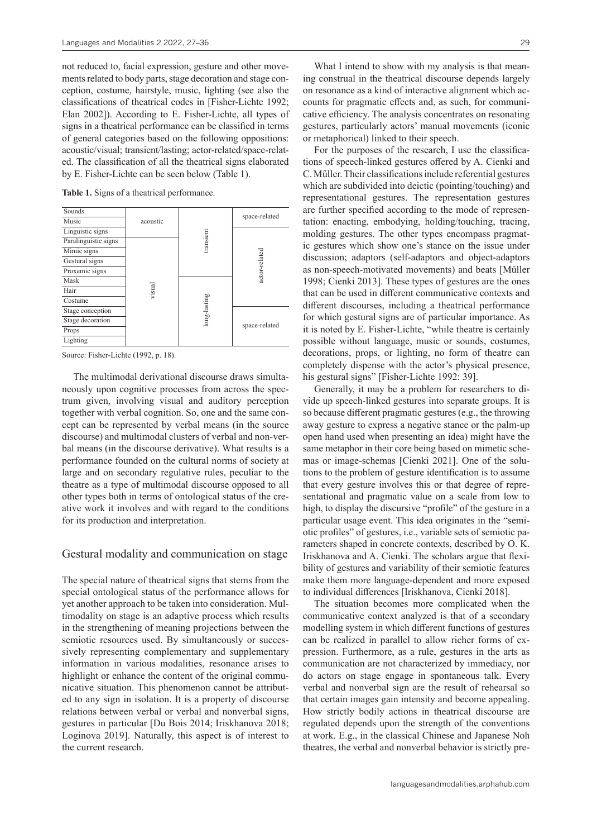not reduced to, facial expression, gesture and other movements related to body parts, stage decoration and stage conception, costume, hairstyle, music, lighting (see also the classifications of theatrical codes in [Fisher-Lichte 1992; Elan 2002]). According to E. Fisher-Lichte, all types of signs in a theatrical performance can be classified in terms of general categories based on the following oppositions: acoustic/visual; transient/lasting; actor-related/space-related. The classification of all the theatrical signs elaborated by E. Fisher-Lichte can be seen below (Table 1).

**Table 1.** Signs of a theatrical performance.



Source: Fisher-Lichte (1992, p. 18).

The multimodal derivational discourse draws simultaneously upon cognitive processes from across the spectrum given, involving visual and auditory perception together with verbal cognition. So, one and the same concept can be represented by verbal means (in the source discourse) and multimodal clusters of verbal and non-verbal means (in the discourse derivative). What results is a performance founded on the cultural norms of society at large and on secondary regulative rules, peculiar to the theatre as a type of multimodal discourse opposed to all other types both in terms of ontological status of the creative work it involves and with regard to the conditions for its production and interpretation.

#### Gestural modality and communication on stage

The special nature of theatrical signs that stems from the special ontological status of the performance allows for yet another approach to be taken into consideration. Multimodality on stage is an adaptive process which results in the strengthening of meaning projections between the semiotic resources used. By simultaneously or successively representing complementary and supplementary information in various modalities, resonance arises to highlight or enhance the content of the original communicative situation. This phenomenon cannot be attributed to any sign in isolation. It is a property of discourse relations between verbal or verbal and nonverbal signs, gestures in particular [Du Bois 2014; Iriskhanova 2018; Loginova 2019]. Naturally, this aspect is of interest to the current research.

What I intend to show with my analysis is that meaning construal in the theatrical discourse depends largely on resonance as a kind of interactive alignment which accounts for pragmatic effects and, as such, for communicative efficiency. The analysis concentrates on resonating gestures, particularly actors' manual movements (iconic or metaphorical) linked to their speech.

For the purposes of the research, I use the classifications of speech-linked gestures offered by A. Cienki and C. Műller. Their classifications include referential gestures which are subdivided into deictic (pointing/touching) and representational gestures. The representation gestures are further specified according to the mode of representation: enacting, embodying, holding/touching, tracing, molding gestures. The other types encompass pragmatic gestures which show one's stance on the issue under discussion; adaptors (self-adaptors and object-adaptors as non-speech-motivated movements) and beats [Műller 1998; Cienki 2013]. These types of gestures are the ones that can be used in different communicative contexts and different discourses, including a theatrical performance for which gestural signs are of particular importance. As it is noted by E. Fisher-Lichte, "while theatre is certainly possible without language, music or sounds, costumes, decorations, props, or lighting, no form of theatre can completely dispense with the actor's physical presence, his gestural signs" [Fisher-Lichte 1992: 39].

Generally, it may be a problem for researchers to divide up speech-linked gestures into separate groups. It is so because different pragmatic gestures (e.g., the throwing away gesture to express a negative stance or the palm-up open hand used when presenting an idea) might have the same metaphor in their core being based on mimetic schemas or image-schemas [Cienki 2021]. One of the solutions to the problem of gesture identification is to assume that every gesture involves this or that degree of representational and pragmatic value on a scale from low to high, to display the discursive "profile" of the gesture in a particular usage event. This idea originates in the "semiotic profiles" of gestures, i.e., variable sets of semiotic parameters shaped in concrete contexts, described by O. K. Iriskhanova and A. Cienki. The scholars argue that flexibility of gestures and variability of their semiotic features make them more language-dependent and more exposed to individual differences [Iriskhanova, Cienki 2018].

The situation becomes more complicated when the communicative context analyzed is that of a secondary modelling system in which different functions of gestures can be realized in parallel to allow richer forms of expression. Furthermore, as a rule, gestures in the arts as communication are not characterized by immediacy, nor do actors on stage engage in spontaneous talk. Every verbal and nonverbal sign are the result of rehearsal so that certain images gain intensity and become appealing. How strictly bodily actions in theatrical discourse are regulated depends upon the strength of the conventions at work. E.g., in the classical Chinese and Japanese Noh theatres, the verbal and nonverbal behavior is strictly pre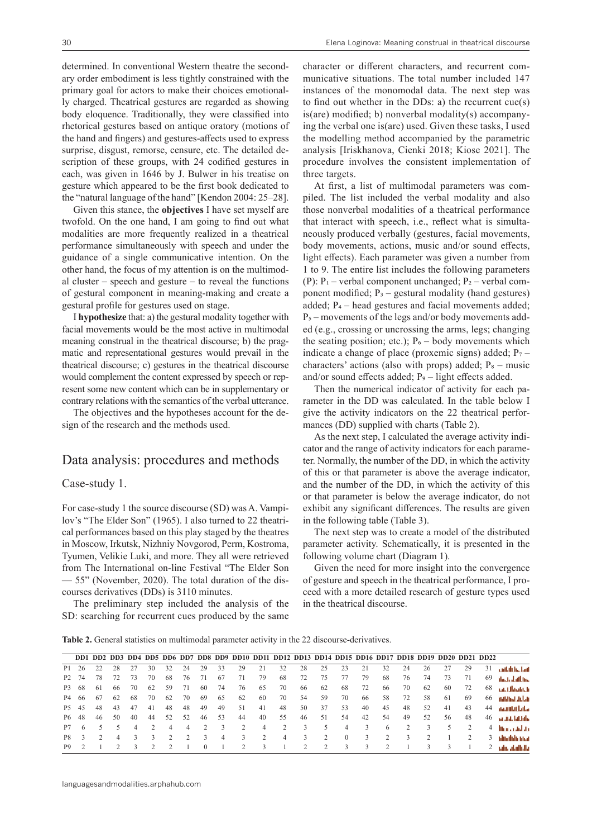determined. In conventional Western theatre the secondary order embodiment is less tightly constrained with the primary goal for actors to make their choices emotionally charged. Theatrical gestures are regarded as showing body eloquence. Traditionally, they were classified into rhetorical gestures based on antique oratory (motions of the hand and fingers) and gestures-affects used to express surprise, disgust, remorse, censure, etc. The detailed description of these groups, with 24 codified gestures in each, was given in 1646 by J. Bulwer in his treatise on gesture which appeared to be the first book dedicated to the "natural language of the hand" [Kendon 2004: 25–28].

Given this stance, the **objectives** I have set myself are twofold. On the one hand, I am going to find out what modalities are more frequently realized in a theatrical performance simultaneously with speech and under the guidance of a single communicative intention. On the other hand, the focus of my attention is on the multimodal cluster – speech and gesture – to reveal the functions of gestural component in meaning-making and create a gestural profile for gestures used on stage.

I **hypothesize** that: a) the gestural modality together with facial movements would be the most active in multimodal meaning construal in the theatrical discourse; b) the pragmatic and representational gestures would prevail in the theatrical discourse; c) gestures in the theatrical discourse would complement the content expressed by speech or represent some new content which can be in supplementary or contrary relations with the semantics of the verbal utterance.

The objectives and the hypotheses account for the design of the research and the methods used.

### Data analysis: procedures and methods

### Case-study 1.

For case-study 1 the source discourse (SD) was A. Vampilov's "The Elder Son" (1965). I also turned to 22 theatrical performances based on this play staged by the theatres in Moscow, Irkutsk, Nizhniy Novgorod, Perm, Kostroma, Tyumen, Velikie Luki, and more. They all were retrieved from The International on-line Festival "The Elder Son — 55" (November, 2020). The total duration of the discourses derivatives (DDs) is 3110 minutes.

The preliminary step included the analysis of the SD: searching for recurrent cues produced by the same character or different characters, and recurrent communicative situations. The total number included 147 instances of the monomodal data. The next step was to find out whether in the DDs: a) the recurrent cue(s) is(are) modified; b) nonverbal modality(s) accompanying the verbal one is(are) used. Given these tasks, I used the modelling method accompanied by the parametric analysis [Iriskhanova, Cienki 2018; Kiose 2021]. The procedure involves the consistent implementation of three targets.

At first, a list of multimodal parameters was compiled. The list included the verbal modality and also those nonverbal modalities of a theatrical performance that interact with speech, i.e., reflect what is simultaneously produced verbally (gestures, facial movements, body movements, actions, music and/or sound effects, light effects). Each parameter was given a number from 1 to 9. The entire list includes the following parameters (P):  $P_1$  – verbal component unchanged;  $P_2$  – verbal component modified;  $P_3$  – gestural modality (hand gestures) added;  $P_4$  – head gestures and facial movements added;  $P_5$  – movements of the legs and/or body movements added (e.g., crossing or uncrossing the arms, legs; changing the seating position; etc.);  $P_6$  – body movements which indicate a change of place (proxemic signs) added;  $P_7$  – characters' actions (also with props) added;  $P_8$  – music and/or sound effects added;  $P_9$  – light effects added.

Then the numerical indicator of activity for each parameter in the DD was calculated. In the table below I give the activity indicators on the 22 theatrical performances (DD) supplied with charts (Table 2).

As the next step, I calculated the average activity indicator and the range of activity indicators for each parameter. Normally, the number of the DD, in which the activity of this or that parameter is above the average indicator, and the number of the DD, in which the activity of this or that parameter is below the average indicator, do not exhibit any significant differences. The results are given in the following table (Table 3).

The next step was to create a model of the distributed parameter activity. Schematically, it is presented in the following volume chart (Diagram 1).

Given the need for more insight into the convergence of gesture and speech in the theatrical performance, I proceed with a more detailed research of gesture types used in the theatrical discourse.

**Table 2.** General statistics on multimodal parameter activity in the 22 discourse-derivatives.

|                   |     |     |     |     |    |    |     |          |    |    |    | DD1 DD2 DD3 DD4 DD5 DD6 DD7 DD8 DD9 DD10 DD11 DD12 DD13 DD14 DD15 DD16 DD17 DD18 DD19 DD20 DD21 DD22 |    |               |          |    |    |    |    |     |     |                |                       |
|-------------------|-----|-----|-----|-----|----|----|-----|----------|----|----|----|------------------------------------------------------------------------------------------------------|----|---------------|----------|----|----|----|----|-----|-----|----------------|-----------------------|
| P <sub>1</sub>    | 26  |     | 28  | 27  | 30 | 32 | 24  | 29       | 33 | 29 | 21 | 32                                                                                                   | 28 | 25            |          |    | 32 | 24 | 26 | 27  | 29  | 31             | cultule in June       |
| P <sub>2</sub>    | 74  | 78  | 72  | 73  | 70 | 68 | 76  | 71       | 67 | 71 | 79 | 68                                                                                                   | 72 | 75            |          | 79 | 68 | 76 | 74 | 73  | -71 | 69             | thick dailbin.        |
| P3                | -68 | -61 | -66 | 70  | 62 | 59 | -71 | 60       | 74 | 76 | 65 | 70                                                                                                   | 66 | 62            | 68       | 72 | 66 | 70 | 62 | -60 | 72  | 68             | and, Albhabitch       |
| P4                | -66 | -67 | 62  | -68 | 70 | 62 | 70  | 69       | 65 | 62 | 60 | 70                                                                                                   | 54 | 59            | 70       | 66 | 58 | 72 | 58 | 61  | 69  | 66             | andhim Julai          |
| P <sub>5</sub> 45 |     | 48  | 43  | 47  | 41 | 48 | 48  | 49       | 49 | 51 | 41 | 48                                                                                                   | 50 | 37            | 53       | 40 | 45 | 48 | 52 | 41  | 43  | 44             | anaullal lala         |
| P <sub>6</sub> 48 |     | 46  | 50  | 40  | 44 | 52 | 52  | 46       | 53 | 44 | 40 | 55                                                                                                   | 46 | 51            | 54       | 42 | 54 | 49 | 52 | 56  | 48  | 46             | an and databa         |
| P7                | 6   |     |     |     |    | 4  | 4   |          |    |    | 4  |                                                                                                      |    | 5             | 4        | 3  | 6  |    | 3  | 5.  |     | $\overline{4}$ | <b>Microsoft also</b> |
| P8.               |     |     | 4   |     |    |    |     |          | 4  | 3  |    | 4                                                                                                    | 3  |               | $\left($ | 3  |    |    |    |     |     |                | tditulidir idrai      |
| P <sub>9</sub>    |     |     |     |     |    |    |     | $\Omega$ |    |    |    |                                                                                                      |    | $\mathcal{D}$ |          |    |    |    |    |     |     |                | -ialii, atalliata     |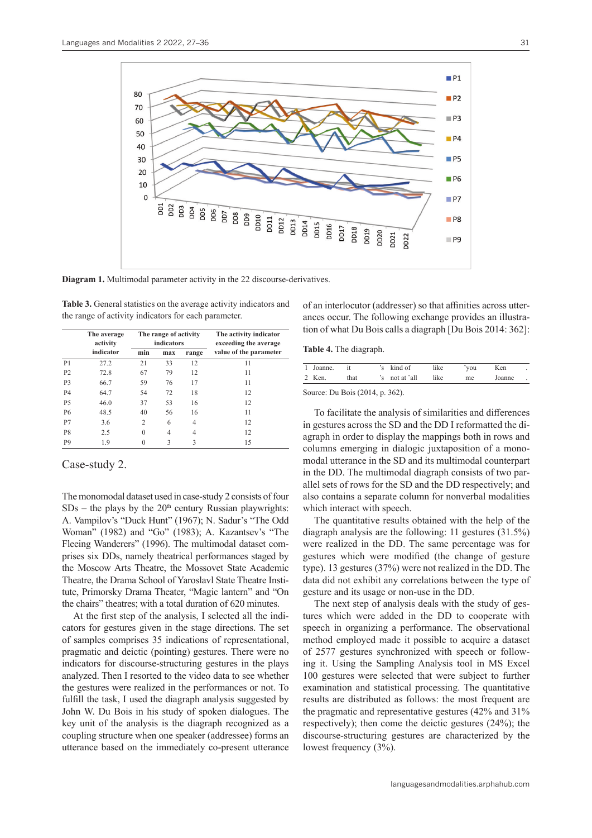

**Diagram 1.** Multimodal parameter activity in the 22 discourse-derivatives.

|                | The average<br>activity |          | The range of activity<br>indicators |       | The activity indicator<br>exceeding the average |  |  |
|----------------|-------------------------|----------|-------------------------------------|-------|-------------------------------------------------|--|--|
|                | indicator               | min      | max                                 | range | value of the parameter                          |  |  |
| P <sub>1</sub> | 27.2                    | 21       | 33                                  | 12    | 11                                              |  |  |
| P <sub>2</sub> | 72.8                    | 67       | 79                                  | 12    | 11                                              |  |  |
| P <sub>3</sub> | 66.7                    | 59       | 76                                  | 17    | 11                                              |  |  |
| P <sub>4</sub> | 64.7                    | 54       | 72                                  | 18    | 12                                              |  |  |
| P <sub>5</sub> | 46.0                    | 37       | 53                                  | 16    | 12                                              |  |  |
| P6             | 48.5                    | 40       | 56                                  | 16    | 11                                              |  |  |
| P7             | 3.6                     | 2        | 6                                   | 4     | 12                                              |  |  |
| P8             | 2.5                     | $\theta$ | 4                                   | 4     | 12                                              |  |  |
| P <sub>9</sub> | 1.9                     | 0        | 3                                   | 3     | 15                                              |  |  |

**Table 3.** General statistics on the average activity indicators and the range of activity indicators for each parameter.

Case-study 2.

The monomodal dataset used in case-study 2 consists of four  $SDs$  – the plays by the  $20<sup>th</sup>$  century Russian playwrights: A. Vampilov's "Duck Hunt" (1967); N. Sadur's "The Odd Woman" (1982) and "Go" (1983); A. Kazantsev's "The Fleeing Wanderers" (1996). The multimodal dataset comprises six DDs, namely theatrical performances staged by the Moscow Arts Theatre, the Mossovet State Academic Theatre, the Drama School of Yaroslavl State Theatre Institute, Primorsky Drama Theater, "Magic lantern" and "On the chairs" theatres; with a total duration of 620 minutes.

At the first step of the analysis, I selected all the indicators for gestures given in the stage directions. The set of samples comprises 35 indications of representational, pragmatic and deictic (pointing) gestures. There were no indicators for discourse-structuring gestures in the plays analyzed. Then I resorted to the video data to see whether the gestures were realized in the performances or not. To fulfill the task, I used the diagraph analysis suggested by John W. Du Bois in his study of spoken dialogues. The key unit of the analysis is the diagraph recognized as a coupling structure when one speaker (addressee) forms an utterance based on the immediately co-present utterance of an interlocutor (addresser) so that affinities across utterances occur. The following exchange provides an illustration of what Du Bois calls a diagraph [Du Bois 2014: 362]:

|  |  |  | Table 4. The diagraph. |
|--|--|--|------------------------|
|--|--|--|------------------------|

| 1 Joanne. | it 's kind of |                           | like | ^you | Ken | $\sim$ |
|-----------|---------------|---------------------------|------|------|-----|--------|
| 2 Ken     | that          | $\sin$ 's not at $\sin$ ' | like | me   |     |        |

Source: Du Bois (2014, p. 362).

To facilitate the analysis of similarities and differences in gestures across the SD and the DD I reformatted the diagraph in order to display the mappings both in rows and columns emerging in dialogic juxtaposition of a monomodal utterance in the SD and its multimodal counterpart in the DD. The multimodal diagraph consists of two parallel sets of rows for the SD and the DD respectively; and also contains a separate column for nonverbal modalities which interact with speech.

The quantitative results obtained with the help of the diagraph analysis are the following: 11 gestures (31.5%) were realized in the DD. The same percentage was for gestures which were modified (the change of gesture type). 13 gestures (37%) were not realized in the DD. The data did not exhibit any correlations between the type of gesture and its usage or non-use in the DD.

The next step of analysis deals with the study of gestures which were added in the DD to cooperate with speech in organizing a performance. The observational method employed made it possible to acquire a dataset of 2577 gestures synchronized with speech or following it. Using the Sampling Analysis tool in MS Excel 100 gestures were selected that were subject to further examination and statistical processing. The quantitative results are distributed as follows: the most frequent are the pragmatic and representative gestures (42% and 31% respectively); then come the deictic gestures (24%); the discourse-structuring gestures are characterized by the lowest frequency (3%).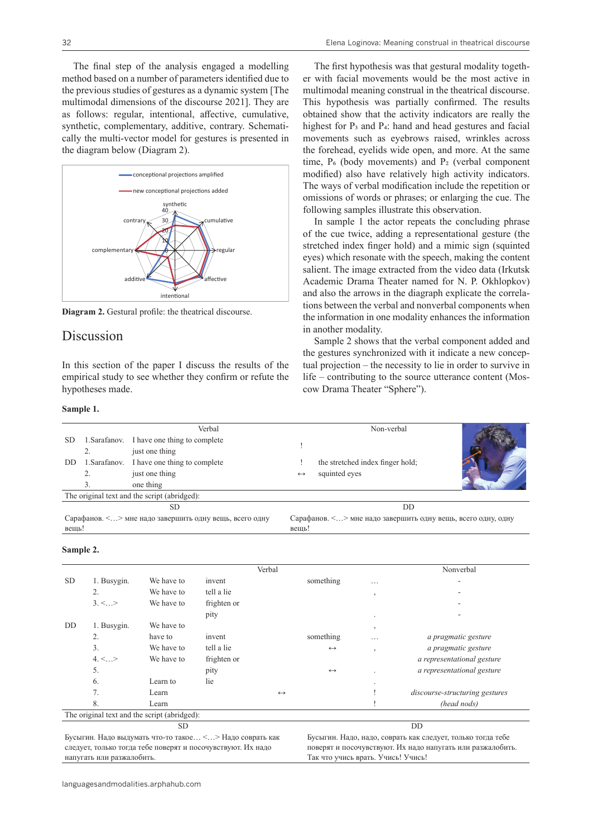The final step of the analysis engaged a modelling method based on a number of parameters identified due to the previous studies of gestures as a dynamic system [The multimodal dimensions of the discourse 2021]. They are as follows: regular, intentional, affective, cumulative, synthetic, complementary, additive, contrary. Schematically the multi-vector model for gestures is presented in the diagram below (Diagram 2).



**Diagram 2.** Gestural profile: the theatrical discourse.

### Discussion

In this section of the paper I discuss the results of the empirical study to see whether they confirm or refute the hypotheses made.

#### **Sample 1.**

The first hypothesis was that gestural modality together with facial movements would be the most active in multimodal meaning construal in the theatrical discourse. This hypothesis was partially confirmed. The results obtained show that the activity indicators are really the highest for P<sub>3</sub> and P<sub>4</sub>: hand and head gestures and facial movements such as eyebrows raised, wrinkles across the forehead, eyelids wide open, and more. At the same time,  $P_6$  (body movements) and  $P_2$  (verbal component modified) also have relatively high activity indicators. The ways of verbal modification include the repetition or omissions of words or phrases; or enlarging the cue. The following samples illustrate this observation.

In sample 1 the actor repeats the concluding phrase of the cue twice, adding a representational gesture (the stretched index finger hold) and a mimic sign (squinted eyes) which resonate with the speech, making the content salient. The image extracted from the video data (Irkutsk Academic Drama Theater named for N. P. Okhlopkov) and also the arrows in the diagraph explicate the correlations between the verbal and nonverbal components when the information in one modality enhances the information in another modality.

Sample 2 shows that the verbal component added and the gestures synchronized with it indicate a new conceptual projection – the necessity to lie in order to survive in life – contributing to the source utterance content (Moscow Drama Theater "Sphere").

|                                                        |  | Verbal                                       |                                                              | Non-verbal                       |  |  |  |  |
|--------------------------------------------------------|--|----------------------------------------------|--------------------------------------------------------------|----------------------------------|--|--|--|--|
| <b>SD</b>                                              |  | 1. Sarafanov. I have one thing to complete   |                                                              |                                  |  |  |  |  |
|                                                        |  | just one thing                               |                                                              |                                  |  |  |  |  |
| DD.                                                    |  | 1. Sarafanov. I have one thing to complete   |                                                              | the stretched index finger hold; |  |  |  |  |
|                                                        |  | just one thing                               | $\leftrightarrow$                                            | squinted eyes                    |  |  |  |  |
|                                                        |  | one thing                                    |                                                              |                                  |  |  |  |  |
|                                                        |  | The original text and the script (abridged): |                                                              |                                  |  |  |  |  |
|                                                        |  | SD                                           | DD                                                           |                                  |  |  |  |  |
| Сарафанов. <> мне надо завершить одну вещь, всего одну |  |                                              | Сарафанов. <> мне надо завершить одну вещь, всего одну, одну |                                  |  |  |  |  |
| вещь!                                                  |  |                                              | вещь!                                                        |                                  |  |  |  |  |

#### **Sample 2.**

|           |                 |                                              |             | Verbal            |                   |                | Nonverbal                             |
|-----------|-----------------|----------------------------------------------|-------------|-------------------|-------------------|----------------|---------------------------------------|
| <b>SD</b> | 1. Busygin.     | We have to                                   | invent      |                   | something         | $\cdots$       | ٠                                     |
|           | 2.              | We have to                                   | tell a lie  |                   |                   | $\overline{ }$ |                                       |
|           | $3. \leq  \geq$ | We have to                                   | frighten or |                   |                   |                |                                       |
|           |                 |                                              | pity        |                   |                   | ٠              |                                       |
| DD        | 1. Busygin.     | We have to                                   |             |                   |                   | $\overline{ }$ |                                       |
|           | 2.              | have to                                      | invent      |                   | something         | $\cdots$       | a pragmatic gesture                   |
|           | 3.              | We have to                                   | tell a lie  |                   | $\leftrightarrow$ | $\cdot$        | a pragmatic gesture                   |
|           | $4, \leq  \geq$ | We have to                                   | frighten or |                   |                   |                | a representational gesture            |
|           | 5.              |                                              | pity        |                   | $\leftrightarrow$ |                | a representational gesture            |
|           | 6.              | Learn to                                     | lie         |                   |                   | ٠              |                                       |
|           | 7.              | Learn                                        |             | $\leftrightarrow$ |                   |                | <i>discourse-structuring gestures</i> |
|           | 8.              | Learn                                        |             |                   |                   |                | (head nods)                           |
|           |                 | The original text and the script (abridged): |             |                   |                   |                |                                       |
|           |                 | <b>SD</b>                                    |             |                   |                   |                | DD                                    |

Бусыгин*.* Надо выдумать что-то такое… <…> Надо соврать как следует, только тогда тебе поверят и посочувствуют. Их надо напугать или разжалобить.

Бусыгин. Надо, надо, соврать как следует, только тогда тебе поверят и посочувствуют. Их надо напугать или разжалобить. Так что учись врать. Учись! Учись!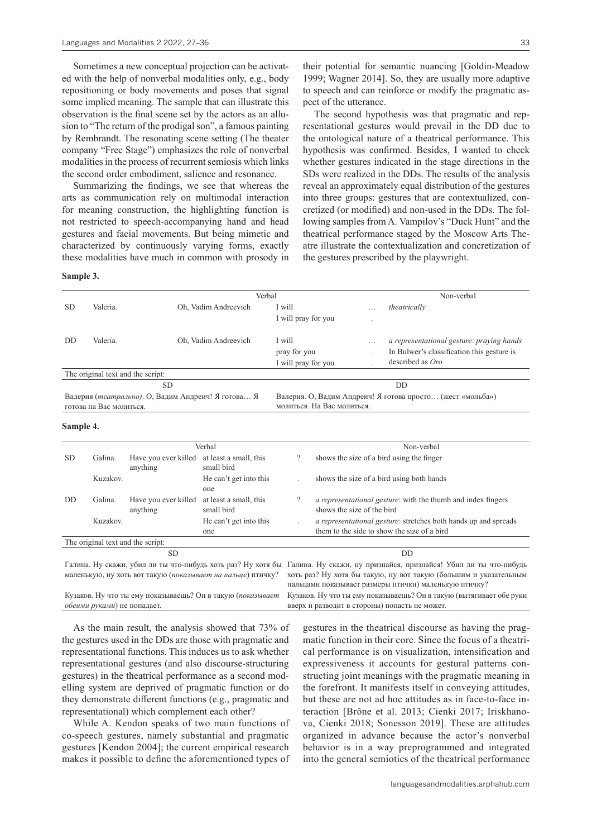Sometimes a new conceptual projection can be activated with the help of nonverbal modalities only, e.g., body repositioning or body movements and poses that signal some implied meaning. The sample that can illustrate this observation is the final scene set by the actors as an allusion to "The return of the prodigal son", a famous painting by Rembrandt. The resonating scene setting (The theater company "Free Stage") emphasizes the role of nonverbal modalities in the process of recurrent semiosis which links the second order embodiment, salience and resonance.

Summarizing the findings, we see that whereas the arts as communication rely on multimodal interaction for meaning construction, the highlighting function is not restricted to speech-accompanying hand and head gestures and facial movements. But being mimetic and characterized by continuously varying forms, exactly these modalities have much in common with prosody in

their potential for semantic nuancing [Goldin-Meadow 1999; Wagner 2014]. So, they are usually more adaptive to speech and can reinforce or modify the pragmatic aspect of the utterance.

The second hypothesis was that pragmatic and representational gestures would prevail in the DD due to the ontological nature of a theatrical performance. This hypothesis was confirmed. Besides, I wanted to check whether gestures indicated in the stage directions in the SDs were realized in the DDs. The results of the analysis reveal an approximately equal distribution of the gestures into three groups: gestures that are contextualized, concretized (or modified) and non-used in the DDs. The following samples from A. Vampilov's "Duck Hunt" and the theatrical performance staged by the Moscow Arts Theatre illustrate the contextualization and concretization of the gestures prescribed by the playwright.

#### **Sample 3.**

|           |                                   |                                                    | Verbal                                                      |                                               |                            |              | Non-verbal                                                                                                                                                                                                                                                 |
|-----------|-----------------------------------|----------------------------------------------------|-------------------------------------------------------------|-----------------------------------------------|----------------------------|--------------|------------------------------------------------------------------------------------------------------------------------------------------------------------------------------------------------------------------------------------------------------------|
| <b>SD</b> | Valeria.                          | Oh, Vadim Andreevich                               | I will                                                      |                                               |                            | theatrically |                                                                                                                                                                                                                                                            |
|           |                                   |                                                    |                                                             | I will pray for you                           |                            |              |                                                                                                                                                                                                                                                            |
| DD        | Valeria.                          |                                                    | Oh, Vadim Andreevich                                        | I will<br>pray for you<br>I will pray for you |                            | .            | a representational gesture: praying hands<br>In Bulwer's classification this gesture is<br>described as Oro                                                                                                                                                |
|           | The original text and the script: |                                                    |                                                             |                                               |                            |              |                                                                                                                                                                                                                                                            |
|           |                                   | <b>SD</b>                                          |                                                             |                                               |                            |              | DD                                                                                                                                                                                                                                                         |
|           | готова на Вас молиться.           | Валерия (театрально). О, Вадим Андреич! Я готова Я |                                                             |                                               | молиться. На Вас молиться. |              | Валерия. О, Вадим Андреич! Я готова просто (жест «мольба»)                                                                                                                                                                                                 |
| Sample 4. |                                   |                                                    |                                                             |                                               |                            |              |                                                                                                                                                                                                                                                            |
|           |                                   |                                                    | Verbal                                                      |                                               |                            |              | Non-verbal                                                                                                                                                                                                                                                 |
| <b>SD</b> | Galina.                           | Have you ever killed<br>anything                   | at least a small, this<br>small bird                        | $\overline{?}$                                |                            |              | shows the size of a bird using the finger                                                                                                                                                                                                                  |
|           | Kuzakov.                          |                                                    | He can't get into this<br>one                               |                                               |                            |              | shows the size of a bird using both hands                                                                                                                                                                                                                  |
| DD        | Galina.                           | Have you ever killed<br>anything                   | at least a small, this<br>small bird                        | $\overline{?}$                                | shows the size of the bird |              | <i>a representational gesture:</i> with the thumb and index fingers                                                                                                                                                                                        |
|           | Kuzakov.                          |                                                    | He can't get into this<br>one                               |                                               |                            |              | a representational gesture: stretches both hands up and spreads<br>them to the side to show the size of a bird                                                                                                                                             |
|           | The original text and the script: |                                                    |                                                             |                                               |                            |              |                                                                                                                                                                                                                                                            |
|           |                                   | <b>SD</b>                                          |                                                             |                                               |                            |              | <b>DD</b>                                                                                                                                                                                                                                                  |
|           |                                   |                                                    | маленькую, ну хоть вот такую (показывает на пальце) птичку? |                                               |                            |              | Галина. Ну скажи, убил ли ты что-нибудь хоть раз? Ну хотя бы Галина. Ну скажи, ну признайся, признайся! Убил ли ты что-нибудь<br>хоть раз? Ну хотя бы такую, ну вот такую (большим и указательным<br>пальцами показывает размеры птички) маленькую птичку? |

Кузаков. Ну что ты ему показываешь? Он в такую (*показывает обеими руками*) не попадает. Кузаков. Ну что ты ему показываешь? Он в такую (вытягивает обе руки вверх и разводит в стороны) попасть не может.

As the main result, the analysis showed that 73% of the gestures used in the DDs are those with pragmatic and representational functions. This induces us to ask whether representational gestures (and also discourse-structuring gestures) in the theatrical performance as a second modelling system are deprived of pragmatic function or do they demonstrate different functions (e.g., pragmatic and representational) which complement each other?

While A. Kendon speaks of two main functions of co-speech gestures, namely substantial and pragmatic gestures [Kendon 2004]; the current empirical research makes it possible to define the aforementioned types of gestures in the theatrical discourse as having the pragmatic function in their core. Since the focus of a theatrical performance is on visualization, intensification and expressiveness it accounts for gestural patterns constructing joint meanings with the pragmatic meaning in the forefront. It manifests itself in conveying attitudes, but these are not ad hoc attitudes as in face-to-face interaction [Brône et al. 2013; Cienki 2017; Iriskhanova, Cienki 2018; Sonesson 2019]. These are attitudes organized in advance because the actor's nonverbal behavior is in a way preprogrammed and integrated into the general semiotics of the theatrical performance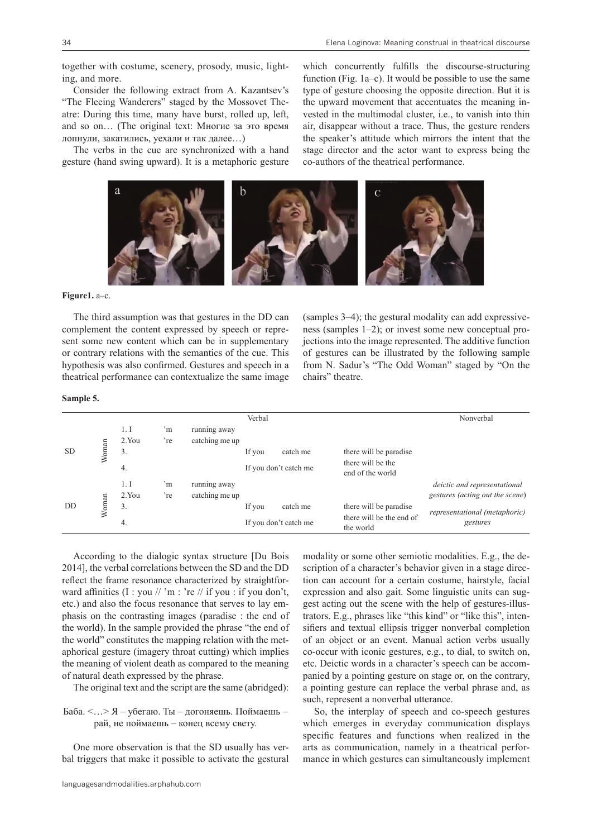together with costume, scenery, prosody, music, lighting, and more.

Consider the following extract from A. Kazantsev's "The Fleeing Wanderers" staged by the Mossovet Theatre: During this time, many have burst, rolled up, left, and so on… (The original text: Многие за это время лопнули, закатились, уехали и так далее…)

The verbs in the cue are synchronized with a hand gesture (hand swing upward). It is a metaphoric gesture

which concurrently fulfills the discourse-structuring function (Fig. 1a–c). It would be possible to use the same type of gesture choosing the opposite direction. But it is the upward movement that accentuates the meaning invested in the multimodal cluster, i.e., to vanish into thin air, disappear without a trace. Thus, the gesture renders the speaker's attitude which mirrors the intent that the stage director and the actor want to express being the co-authors of the theatrical performance.



**Figure1.** a–c.

The third assumption was that gestures in the DD can complement the content expressed by speech or represent some new content which can be in supplementary or contrary relations with the semantics of the cue. This hypothesis was also confirmed. Gestures and speech in a theatrical performance can contextualize the same image

(samples 3–4); the gestural modality can add expressiveness (samples 1–2); or invest some new conceptual projections into the image represented. The additive function of gestures can be illustrated by the following sample from N. Sadur's "The Odd Woman" staged by "On the chairs" theatre.

#### **Sample 5.**

|           |       |       |                    |                | Verbal |                       |                                       | Nonverbal                       |
|-----------|-------|-------|--------------------|----------------|--------|-----------------------|---------------------------------------|---------------------------------|
|           |       | 1. I  | $\cdot_{\text{m}}$ | running away   |        |                       |                                       |                                 |
|           |       | 2.You | 're                | catching me up |        |                       |                                       |                                 |
| <b>SD</b> | Woman | 3.    |                    |                | If you | catch me              | there will be paradise                |                                 |
|           |       | 4.    |                    |                |        | If you don't catch me | there will be the<br>end of the world |                                 |
|           |       | 1.1   | 'n                 | running away   |        |                       |                                       | deictic and representational    |
|           |       | 2.You | 're                | catching me up |        |                       |                                       | gestures (acting out the scene) |
| DD        | Woman | 3.    |                    |                | If you | catch me              | there will be paradise                | representational (metaphoric)   |
|           |       | 4.    |                    |                |        | If you don't catch me | there will be the end of<br>the world | gestures                        |

According to the dialogic syntax structure [Du Bois 2014], the verbal correlations between the SD and the DD reflect the frame resonance characterized by straightforward affinities (I : you // 'm : 're // if you : if you don't, etc.) and also the focus resonance that serves to lay emphasis on the contrasting images (paradise : the end of the world). In the sample provided the phrase "the end of the world" constitutes the mapping relation with the metaphorical gesture (imagery throat cutting) which implies the meaning of violent death as compared to the meaning of natural death expressed by the phrase.

The original text and the script are the same (abridged):

#### Баба. <…> Я – убегаю. Ты – догоняешь. Поймаешь – рай, не поймаешь – конец всему свету.

One more observation is that the SD usually has verbal triggers that make it possible to activate the gestural modality or some other semiotic modalities. E.g., the description of a character's behavior given in a stage direction can account for a certain costume, hairstyle, facial expression and also gait. Some linguistic units can suggest acting out the scene with the help of gestures-illustrators. E.g., phrases like "this kind" or "like this", intensifiers and textual ellipsis trigger nonverbal completion of an object or an event. Manual action verbs usually co-occur with iconic gestures, e.g., to dial, to switch on, etc. Deictic words in a character's speech can be accompanied by а pointing gesture on stage or, on the contrary, а pointing gesture can replace the verbal phrase and, as such, represent a nonverbal utterance.

So, the interplay of speech and co-speech gestures which emerges in everyday communication displays specific features and functions when realized in the arts as communication, namely in a theatrical performance in which gestures can simultaneously implement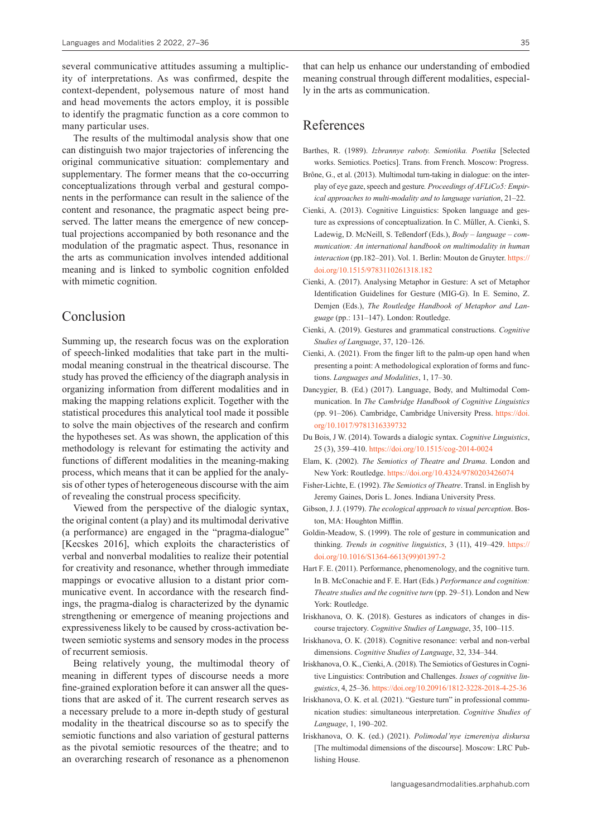several communicative attitudes assuming a multiplicity of interpretations. As was confirmed, despite the context-dependent, polysemous nature of most hand and head movements the actors employ, it is possible to identify the pragmatic function as a core common to many particular uses.

The results of the multimodal analysis show that one can distinguish two major trajectories of inferencing the original communicative situation: complementary and supplementary. The former means that the co-occurring conceptualizations through verbal and gestural components in the performance can result in the salience of the content and resonance, the pragmatic aspect being preserved. The latter means the emergence of new conceptual projections accompanied by both resonance and the modulation of the pragmatic aspect. Thus, resonance in the arts as communication involves intended additional meaning and is linked to symbolic cognition enfolded with mimetic cognition.

### Conclusion

Summing up, the research focus was on the exploration of speech-linked modalities that take part in the multimodal meaning construal in the theatrical discourse. The study has proved the efficiency of the diagraph analysis in organizing information from different modalities and in making the mapping relations explicit. Together with the statistical procedures this analytical tool made it possible to solve the main objectives of the research and confirm the hypotheses set. As was shown, the application of this methodology is relevant for estimating the activity and functions of different modalities in the meaning-making process, which means that it can be applied for the analysis of other types of heterogeneous discourse with the aim of revealing the construal process specificity.

Viewed from the perspective of the dialogic syntax, the original content (a play) and its multimodal derivative (a performance) are engaged in the "pragma-dialogue" [Kecskes 2016], which exploits the characteristics of verbal and nonverbal modalities to realize their potential for creativity and resonance, whether through immediate mappings or evocative allusion to a distant prior communicative event. In accordance with the research findings, the pragma-dialog is characterized by the dynamic strengthening or emergence of meaning projections and expressiveness likely to be caused by cross-activation between semiotic systems and sensory modes in the process of recurrent semiosis.

Being relatively young, the multimodal theory of meaning in different types of discourse needs a more fine-grained exploration before it can answer all the questions that are asked of it. The current research serves as a necessary prelude to a more in-depth study of gestural modality in the theatrical discourse so as to specify the semiotic functions and also variation of gestural patterns as the pivotal semiotic resources of the theatre; and to an overarching research of resonance as a phenomenon

that can help us enhance our understanding of embodied meaning construal through different modalities, especially in the arts as communication.

# References

- Barthes, R. (1989). *Izbrannye raboty. Semiotika. Poetika* [Selected works. Semiotics. Poetics]. Trans. from French. Moscow: Progress.
- Brône, G., et al. (2013). Multimodal turn-taking in dialogue: on the interplay of eye gaze, speech and gesture*. Proceedings of AFLiCo5: Empirical approaches to multi-modality and to language variation*, 21–22.
- Cienki, A. (2013). Cognitive Linguistics: Spoken language and gesture as expressions of conceptualization. In C. Műller, A. Cienki, S. Ladewig, D. McNeill, S. Teßendorf (Eds.), *Body – language – communication: An international handbook on multimodality in human interaction* (pp.182–201). Vol. 1. Berlin: Mouton de Gruyter. [https://](https://doi.org/10.1515/9783110261318.182) [doi.org/10.1515/9783110261318.182](https://doi.org/10.1515/9783110261318.182)
- Cienki, A. (2017). Analysing Metaphor in Gesture: A set of Metaphor Identification Guidelines for Gesture (MIG-G). In E. Semino, Z. Demjen (Eds.), *The Routledge Handbook of Metaphor and Language* (pp.: 131–147). London: Routledge.
- Cienki, A. (2019). Gestures and grammatical constructions. *Cognitive Studies of Language*, 37, 120–126.
- Cienki, A. (2021). From the finger lift to the palm-up open hand when presenting a point: A methodological exploration of forms and functions. *Languages and Modalities*, 1, 17–30.
- Dancygier, B. (Ed.) (2017). Language, Body, and Multimodal Communication. In *The Cambridge Handbook of Cognitive Linguistics*  (pp. 91–206). Cambridge, Cambridge University Press. [https://doi.](https://doi.org/10.1017/9781316339732) [org/10.1017/9781316339732](https://doi.org/10.1017/9781316339732)
- Du Bois, J W. (2014). Towards a dialogic syntax. *Cognitive Linguistics*, 25 (3), 359–410.<https://doi.org/10.1515/cog-2014-0024>
- Elam, K. (2002). *The Semiotics of Theatre and Drama*. London and New York: Routledge. <https://doi.org/10.4324/9780203426074>
- Fisher-Lichte, E. (1992). *The Semiotics of Theatre*. Transl. in English by Jeremy Gaines, Doris L. Jones. Indiana University Press.
- Gibson, J. J. (1979). *The ecological approach to visual perception*. Boston, MA: Houghton Mifflin.
- Goldin-Meadow, S. (1999). The role of gesture in communication and thinking. *Trends in cognitive linguistics*, 3 (11), 419–429. [https://](https://doi.org/10.1016/S1364-6613(99)01397-2) [doi.org/10.1016/S1364-6613\(99\)01397-2](https://doi.org/10.1016/S1364-6613(99)01397-2)
- Hart F. E. (2011). Performance, phenomenology, and the cognitive turn. In B. McConachie and F. E. Hart (Eds.) *Performance and cognition: Theatre studies and the cognitive turn* (pp. 29–51). London and New York: Routledge.
- Iriskhanova, O. K. (2018). Gestures as indicators of changes in discourse trajectory. *Cognitive Studies of Language*, 35, 100–115.
- Iriskhanova, О. К. (2018). Cognitive resonance: verbal and non-verbal dimensions. *Cognitive Studies of Language*, 32, 334–344.
- Iriskhanova, O. K., Cienki, A. (2018). The Semiotics of Gestures in Cognitive Linguistics: Contribution and Challenges. *Issues of cognitive linguistics*, 4, 25–36.<https://doi.org/10.20916/1812-3228-2018-4-25-36>
- Iriskhanova, O. K. et al. (2021). "Gesture turn" in professional communication studies: simultaneous interpretation. *Cognitive Studies of Language*, 1, 190–202.
- Iriskhanova, O. K. (ed.) (2021). *Polimodal'nye izmereniya diskursa* [The multimodal dimensions of the discourse]. Moscow: LRC Publishing House.